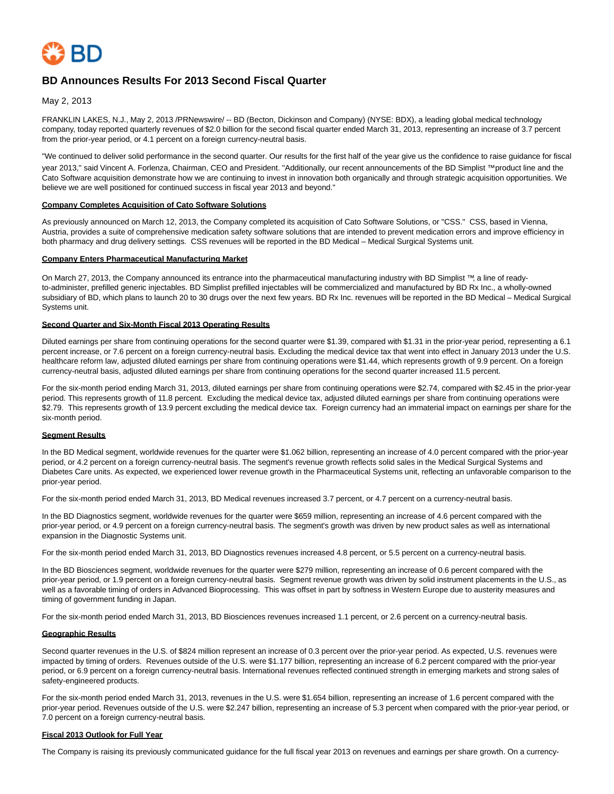

# **BD Announces Results For 2013 Second Fiscal Quarter**

May 2, 2013

FRANKLIN LAKES, N.J., May 2, 2013 /PRNewswire/ -- BD (Becton, Dickinson and Company) (NYSE: BDX), a leading global medical technology company, today reported quarterly revenues of \$2.0 billion for the second fiscal quarter ended March 31, 2013, representing an increase of 3.7 percent from the prior-year period, or 4.1 percent on a foreign currency-neutral basis.

"We continued to deliver solid performance in the second quarter. Our results for the first half of the year give us the confidence to raise guidance for fiscal year 2013," said Vincent A. Forlenza, Chairman, CEO and President. "Additionally, our recent announcements of the BD Simplist ™product line and the Cato Software acquisition demonstrate how we are continuing to invest in innovation both organically and through strategic acquisition opportunities. We believe we are well positioned for continued success in fiscal year 2013 and beyond."

#### **Company Completes Acquisition of Cato Software Solutions**

As previously announced on March 12, 2013, the Company completed its acquisition of Cato Software Solutions, or "CSS." CSS, based in Vienna, Austria, provides a suite of comprehensive medication safety software solutions that are intended to prevent medication errors and improve efficiency in both pharmacy and drug delivery settings. CSS revenues will be reported in the BD Medical – Medical Surgical Systems unit.

#### **Company Enters Pharmaceutical Manufacturing Market**

On March 27, 2013, the Company announced its entrance into the pharmaceutical manufacturing industry with BD Simplist ™, a line of readyto-administer, prefilled generic injectables. BD Simplist prefilled injectables will be commercialized and manufactured by BD Rx Inc., a wholly-owned subsidiary of BD, which plans to launch 20 to 30 drugs over the next few years. BD Rx Inc. revenues will be reported in the BD Medical – Medical Surgical Systems unit.

#### **Second Quarter and Six-Month Fiscal 2013 Operating Results**

Diluted earnings per share from continuing operations for the second quarter were \$1.39, compared with \$1.31 in the prior-year period, representing a 6.1 percent increase, or 7.6 percent on a foreign currency-neutral basis. Excluding the medical device tax that went into effect in January 2013 under the U.S. healthcare reform law, adjusted diluted earnings per share from continuing operations were \$1.44, which represents growth of 9.9 percent. On a foreign currency-neutral basis, adjusted diluted earnings per share from continuing operations for the second quarter increased 11.5 percent.

For the six-month period ending March 31, 2013, diluted earnings per share from continuing operations were \$2.74, compared with \$2.45 in the prior-year period. This represents growth of 11.8 percent. Excluding the medical device tax, adjusted diluted earnings per share from continuing operations were \$2.79. This represents growth of 13.9 percent excluding the medical device tax. Foreign currency had an immaterial impact on earnings per share for the six-month period.

### **Segment Results**

In the BD Medical segment, worldwide revenues for the quarter were \$1.062 billion, representing an increase of 4.0 percent compared with the prior-year period, or 4.2 percent on a foreign currency-neutral basis. The segment's revenue growth reflects solid sales in the Medical Surgical Systems and Diabetes Care units. As expected, we experienced lower revenue growth in the Pharmaceutical Systems unit, reflecting an unfavorable comparison to the prior-year period.

For the six-month period ended March 31, 2013, BD Medical revenues increased 3.7 percent, or 4.7 percent on a currency-neutral basis.

In the BD Diagnostics segment, worldwide revenues for the quarter were \$659 million, representing an increase of 4.6 percent compared with the prior-year period, or 4.9 percent on a foreign currency-neutral basis. The segment's growth was driven by new product sales as well as international expansion in the Diagnostic Systems unit.

For the six-month period ended March 31, 2013, BD Diagnostics revenues increased 4.8 percent, or 5.5 percent on a currency-neutral basis.

In the BD Biosciences segment, worldwide revenues for the quarter were \$279 million, representing an increase of 0.6 percent compared with the prior-year period, or 1.9 percent on a foreign currency-neutral basis. Segment revenue growth was driven by solid instrument placements in the U.S., as well as a favorable timing of orders in Advanced Bioprocessing. This was offset in part by softness in Western Europe due to austerity measures and timing of government funding in Japan.

For the six-month period ended March 31, 2013, BD Biosciences revenues increased 1.1 percent, or 2.6 percent on a currency-neutral basis.

#### **Geographic Results**

Second quarter revenues in the U.S. of \$824 million represent an increase of 0.3 percent over the prior-year period. As expected, U.S. revenues were impacted by timing of orders. Revenues outside of the U.S. were \$1.177 billion, representing an increase of 6.2 percent compared with the prior-year period, or 6.9 percent on a foreign currency-neutral basis. International revenues reflected continued strength in emerging markets and strong sales of safety-engineered products.

For the six-month period ended March 31, 2013, revenues in the U.S. were \$1.654 billion, representing an increase of 1.6 percent compared with the prior-year period. Revenues outside of the U.S. were \$2.247 billion, representing an increase of 5.3 percent when compared with the prior-year period, or 7.0 percent on a foreign currency-neutral basis.

#### **Fiscal 2013 Outlook for Full Year**

The Company is raising its previously communicated guidance for the full fiscal year 2013 on revenues and earnings per share growth. On a currency-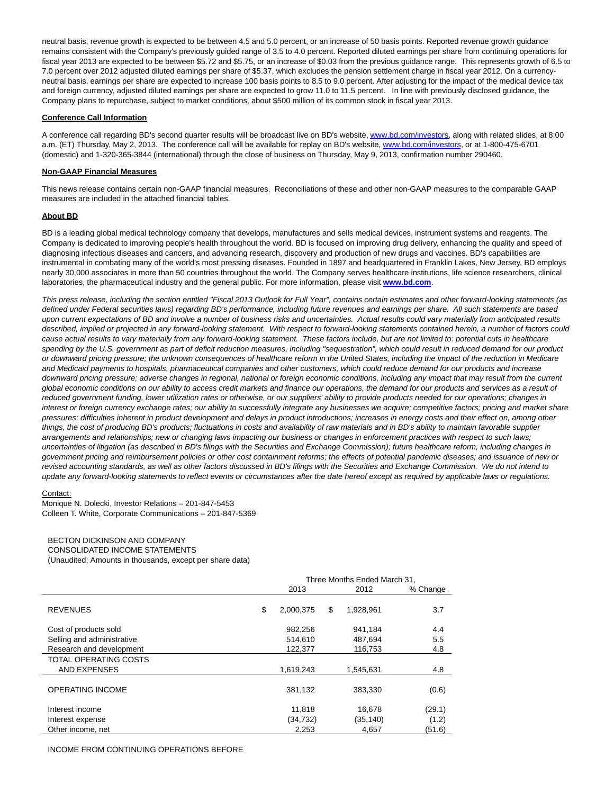neutral basis, revenue growth is expected to be between 4.5 and 5.0 percent, or an increase of 50 basis points. Reported revenue growth guidance remains consistent with the Company's previously guided range of 3.5 to 4.0 percent. Reported diluted earnings per share from continuing operations for fiscal year 2013 are expected to be between \$5.72 and \$5.75, or an increase of \$0.03 from the previous guidance range. This represents growth of 6.5 to 7.0 percent over 2012 adjusted diluted earnings per share of \$5.37, which excludes the pension settlement charge in fiscal year 2012. On a currencyneutral basis, earnings per share are expected to increase 100 basis points to 8.5 to 9.0 percent. After adjusting for the impact of the medical device tax and foreign currency, adjusted diluted earnings per share are expected to grow 11.0 to 11.5 percent. In line with previously disclosed guidance, the Company plans to repurchase, subject to market conditions, about \$500 million of its common stock in fiscal year 2013.

#### **Conference Call Information**

A conference call regarding BD's second quarter results will be broadcast live on BD's website[, www.bd.com/investors,](http://www.bd.com/investors) along with related slides, at 8:00 a.m. (ET) Thursday, May 2, 2013. The conference call will be available for replay on BD's website, [www.bd.com/investors,](http://www.bd.com/investors) or at 1-800-475-6701 (domestic) and 1-320-365-3844 (international) through the close of business on Thursday, May 9, 2013, confirmation number 290460.

#### **Non-GAAP Financial Measures**

This news release contains certain non-GAAP financial measures. Reconciliations of these and other non-GAAP measures to the comparable GAAP measures are included in the attached financial tables.

#### **About BD**

BD is a leading global medical technology company that develops, manufactures and sells medical devices, instrument systems and reagents. The Company is dedicated to improving people's health throughout the world. BD is focused on improving drug delivery, enhancing the quality and speed of diagnosing infectious diseases and cancers, and advancing research, discovery and production of new drugs and vaccines. BD's capabilities are instrumental in combating many of the world's most pressing diseases. Founded in 1897 and headquartered in Franklin Lakes, New Jersey, BD employs nearly 30,000 associates in more than 50 countries throughout the world. The Company serves healthcare institutions, life science researchers, clinical laboratories, the pharmaceutical industry and the general public. For more information, please visit **[www.bd.com](http://www.bd.com/)**.

This press release, including the section entitled "Fiscal 2013 Outlook for Full Year", contains certain estimates and other forward-looking statements (as defined under Federal securities laws) regarding BD's performance, including future revenues and earnings per share. All such statements are based upon current expectations of BD and involve a number of business risks and uncertainties. Actual results could vary materially from anticipated results described, implied or projected in any forward-looking statement. With respect to forward-looking statements contained herein, a number of factors could cause actual results to vary materially from any forward-looking statement. These factors include, but are not limited to: potential cuts in healthcare spending by the U.S. government as part of deficit reduction measures, including "sequestration", which could result in reduced demand for our product or downward pricing pressure; the unknown consequences of healthcare reform in the United States, including the impact of the reduction in Medicare and Medicaid payments to hospitals, pharmaceutical companies and other customers, which could reduce demand for our products and increase downward pricing pressure; adverse changes in regional, national or foreign economic conditions, including any impact that may result from the current global economic conditions on our ability to access credit markets and finance our operations, the demand for our products and services as a result of reduced government funding, lower utilization rates or otherwise, or our suppliers' ability to provide products needed for our operations; changes in interest or foreign currency exchange rates; our ability to successfully integrate any businesses we acquire; competitive factors; pricing and market share pressures; difficulties inherent in product development and delays in product introductions; increases in energy costs and their effect on, among other things, the cost of producing BD's products; fluctuations in costs and availability of raw materials and in BD's ability to maintain favorable supplier arrangements and relationships; new or changing laws impacting our business or changes in enforcement practices with respect to such laws; uncertainties of litigation (as described in BD's filings with the Securities and Exchange Commission); future healthcare reform, including changes in government pricing and reimbursement policies or other cost containment reforms; the effects of potential pandemic diseases; and issuance of new or revised accounting standards, as well as other factors discussed in BD's filings with the Securities and Exchange Commission. We do not intend to update any forward-looking statements to reflect events or circumstances after the date hereof except as required by applicable laws or regulations.

#### Contact:

Monique N. Dolecki, Investor Relations – 201-847-5453 Colleen T. White, Corporate Communications – 201-847-5369

#### BECTON DICKINSON AND COMPANY CONSOLIDATED INCOME STATEMENTS (Unaudited; Amounts in thousands, except per share data)

|                              | Three Months Ended March 31. |           |    |           |          |  |
|------------------------------|------------------------------|-----------|----|-----------|----------|--|
|                              |                              | 2013      |    | 2012      | % Change |  |
| <b>REVENUES</b>              | \$                           | 2,000,375 | \$ | 1,928,961 | 3.7      |  |
| Cost of products sold        |                              | 982,256   |    | 941.184   | 4.4      |  |
| Selling and administrative   |                              | 514.610   |    | 487.694   | 5.5      |  |
| Research and development     |                              | 122.377   |    | 116.753   | 4.8      |  |
| <b>TOTAL OPERATING COSTS</b> |                              |           |    |           |          |  |
| AND EXPENSES                 |                              | 1,619,243 |    | 1,545,631 | 4.8      |  |
| <b>OPERATING INCOME</b>      |                              | 381,132   |    | 383.330   | (0.6)    |  |
| Interest income              |                              | 11,818    |    | 16,678    | (29.1)   |  |
| Interest expense             |                              | (34,732)  |    | (35, 140) | (1.2)    |  |
| Other income, net            |                              | 2,253     |    | 4,657     | (51.6)   |  |

INCOME FROM CONTINUING OPERATIONS BEFORE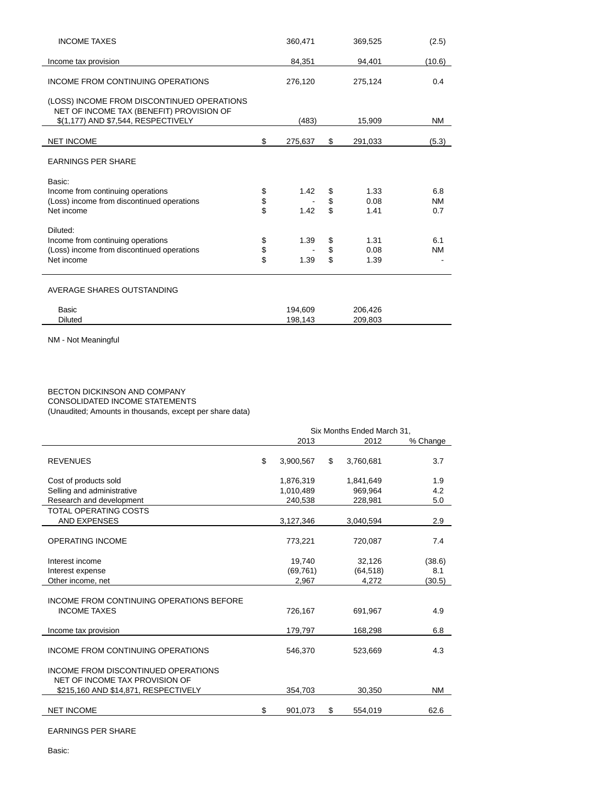| <b>INCOME TAXES</b>                                                                                                           | 360,471       | 369,525       | (2.5)     |
|-------------------------------------------------------------------------------------------------------------------------------|---------------|---------------|-----------|
| Income tax provision                                                                                                          | 84,351        | 94,401        | (10.6)    |
| <b>INCOME FROM CONTINUING OPERATIONS</b>                                                                                      | 276,120       | 275,124       | 0.4       |
| (LOSS) INCOME FROM DISCONTINUED OPERATIONS<br>NET OF INCOME TAX (BENEFIT) PROVISION OF<br>\$(1,177) AND \$7,544, RESPECTIVELY | (483)         | 15,909        | <b>NM</b> |
|                                                                                                                               |               |               |           |
| <b>NET INCOME</b>                                                                                                             | \$<br>275,637 | \$<br>291,033 | (5.3)     |
| <b>EARNINGS PER SHARE</b>                                                                                                     |               |               |           |
| Basic:                                                                                                                        |               |               |           |
| Income from continuing operations                                                                                             | \$<br>1.42    | \$<br>1.33    | 6.8       |
| (Loss) income from discontinued operations                                                                                    | \$            | \$<br>0.08    | <b>NM</b> |
| Net income                                                                                                                    | \$<br>1.42    | \$<br>1.41    | 0.7       |
| Diluted:                                                                                                                      |               |               |           |
| Income from continuing operations                                                                                             | 1.39          | \$<br>1.31    | 6.1       |
| (Loss) income from discontinued operations                                                                                    | \$            | \$<br>0.08    | <b>NM</b> |
| Net income                                                                                                                    | \$<br>1.39    | \$<br>1.39    |           |
|                                                                                                                               |               |               |           |
| AVERAGE SHARES OUTSTANDING                                                                                                    |               |               |           |

| Basic          | .609<br>194. | .426<br>206.4<br>__ |  |
|----------------|--------------|---------------------|--|
| <b>Diluted</b> | ۰4۰<br>198   | 209.803             |  |

NM - Not Meaningful

# BECTON DICKINSON AND COMPANY CONSOLIDATED INCOME STATEMENTS

(Unaudited; Amounts in thousands, except per share data)

|                                                                       | Six Months Ended March 31, |           |    |           |           |  |
|-----------------------------------------------------------------------|----------------------------|-----------|----|-----------|-----------|--|
|                                                                       |                            | 2013      |    | 2012      | % Change  |  |
| <b>REVENUES</b>                                                       | \$                         | 3,900,567 | \$ | 3,760,681 | 3.7       |  |
| Cost of products sold                                                 |                            | 1,876,319 |    | 1,841,649 | 1.9       |  |
| Selling and administrative                                            |                            | 1,010,489 |    | 969.964   | 4.2       |  |
| Research and development                                              |                            | 240,538   |    | 228,981   | 5.0       |  |
| TOTAL OPERATING COSTS                                                 |                            |           |    |           |           |  |
| <b>AND EXPENSES</b>                                                   |                            | 3,127,346 |    | 3,040,594 | 2.9       |  |
| <b>OPERATING INCOME</b>                                               |                            | 773,221   |    | 720,087   | 7.4       |  |
| Interest income                                                       |                            | 19,740    |    | 32,126    | (38.6)    |  |
| Interest expense                                                      |                            | (69, 761) |    | (64, 518) | 8.1       |  |
| Other income, net                                                     |                            | 2,967     |    | 4,272     | (30.5)    |  |
| INCOME FROM CONTINUING OPERATIONS BEFORE<br><b>INCOME TAXES</b>       |                            | 726.167   |    | 691.967   | 4.9       |  |
| Income tax provision                                                  |                            | 179,797   |    | 168,298   | 6.8       |  |
| <b>INCOME FROM CONTINUING OPERATIONS</b>                              |                            | 546,370   |    | 523,669   | 4.3       |  |
| INCOME FROM DISCONTINUED OPERATIONS<br>NET OF INCOME TAX PROVISION OF |                            |           |    |           |           |  |
| \$215,160 AND \$14,871, RESPECTIVELY                                  |                            | 354,703   |    | 30,350    | <b>NM</b> |  |
| <b>NET INCOME</b>                                                     | \$                         | 901,073   | \$ | 554,019   | 62.6      |  |

## EARNINGS PER SHARE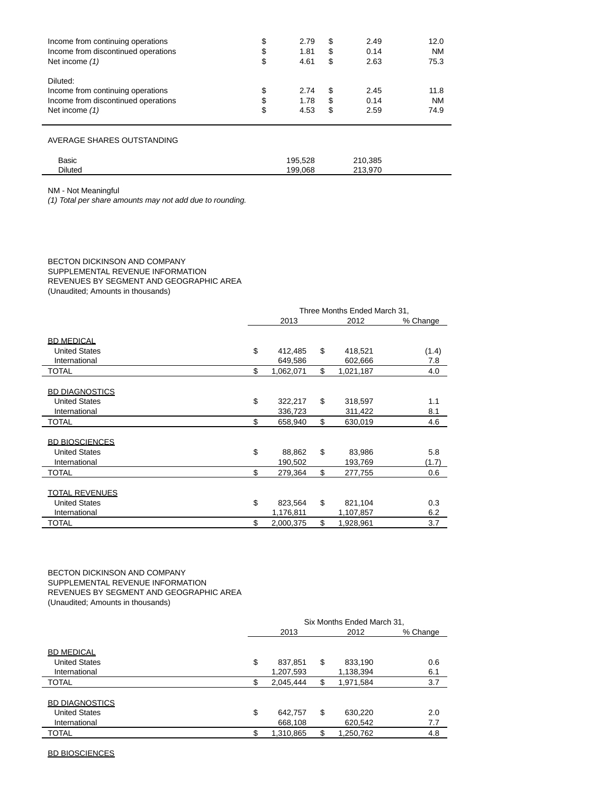| Income from continuing operations<br>Income from discontinued operations<br>Net income (1) | \$<br>\$<br>\$ | 2.79<br>1.81<br>4.61 | \$<br>\$<br>\$ | 2.49<br>0.14<br>2.63 | 12.0<br><b>NM</b><br>75.3 |
|--------------------------------------------------------------------------------------------|----------------|----------------------|----------------|----------------------|---------------------------|
| Diluted:                                                                                   |                |                      |                |                      |                           |
| Income from continuing operations                                                          | S              | 2.74                 | S              | 2.45                 | 11.8                      |
| Income from discontinued operations                                                        | \$             | 1.78                 | \$             | 0.14                 | <b>NM</b>                 |
| Net income (1)                                                                             | \$             | 4.53                 | \$             | 2.59                 | 74.9                      |
|                                                                                            |                |                      |                |                      |                           |

#### AVERAGE SHARES OUTSTANDING

| Basic          | 195.528 | 210.385 |  |
|----------------|---------|---------|--|
| <b>Diluted</b> | 199.068 | 213.970 |  |

NM - Not Meaningful

 $\overline{a}$ 

J.

(1) Total per share amounts may not add due to rounding.

## BECTON DICKINSON AND COMPANY SUPPLEMENTAL REVENUE INFORMATION REVENUES BY SEGMENT AND GEOGRAPHIC AREA (Unaudited; Amounts in thousands)

|                       |    | Three Months Ended March 31, |                 |          |
|-----------------------|----|------------------------------|-----------------|----------|
|                       |    | 2013                         | 2012            | % Change |
|                       |    |                              |                 |          |
| <b>BD MEDICAL</b>     |    |                              |                 |          |
| <b>United States</b>  | \$ | 412,485                      | \$<br>418,521   | (1.4)    |
| International         |    | 649,586                      | 602,666         | 7.8      |
| <b>TOTAL</b>          | \$ | 1,062,071                    | \$<br>1,021,187 | 4.0      |
|                       |    |                              |                 |          |
| <b>BD DIAGNOSTICS</b> |    |                              |                 |          |
| <b>United States</b>  | \$ | 322,217                      | \$<br>318,597   | 1.1      |
| International         |    | 336,723                      | 311,422         | 8.1      |
| TOTAL                 | \$ | 658,940                      | \$<br>630,019   | 4.6      |
|                       |    |                              |                 |          |
| <b>BD BIOSCIENCES</b> |    |                              |                 |          |
| <b>United States</b>  | \$ | 88,862                       | \$<br>83,986    | 5.8      |
| International         |    | 190,502                      | 193,769         | (1.7)    |
| <b>TOTAL</b>          | \$ | 279,364                      | \$<br>277,755   | 0.6      |
|                       |    |                              |                 |          |
| <b>TOTAL REVENUES</b> |    |                              |                 |          |
| <b>United States</b>  | \$ | 823,564                      | \$<br>821,104   | 0.3      |
| International         |    | 1,176,811                    | 1,107,857       | 6.2      |
| <b>TOTAL</b>          | \$ | 2,000,375                    | \$<br>1,928,961 | 3.7      |

BECTON DICKINSON AND COMPANY SUPPLEMENTAL REVENUE INFORMATION REVENUES BY SEGMENT AND GEOGRAPHIC AREA (Unaudited; Amounts in thousands)

|                       | Six Months Ended March 31, |           |    |           |          |  |
|-----------------------|----------------------------|-----------|----|-----------|----------|--|
|                       |                            | 2013      |    | 2012      | % Change |  |
|                       |                            |           |    |           |          |  |
| <b>BD MEDICAL</b>     |                            |           |    |           |          |  |
| <b>United States</b>  | \$                         | 837,851   | \$ | 833,190   | 0.6      |  |
| International         |                            | 1,207,593 |    | 1,138,394 | 6.1      |  |
| <b>TOTAL</b>          | \$.                        | 2,045,444 | \$ | 1,971,584 | 3.7      |  |
|                       |                            |           |    |           |          |  |
| <b>BD DIAGNOSTICS</b> |                            |           |    |           |          |  |
| <b>United States</b>  | \$                         | 642,757   | \$ | 630,220   | 2.0      |  |
| International         |                            | 668,108   |    | 620,542   | 7.7      |  |
| TOTAL                 |                            | 1,310,865 | \$ | 1,250,762 | 4.8      |  |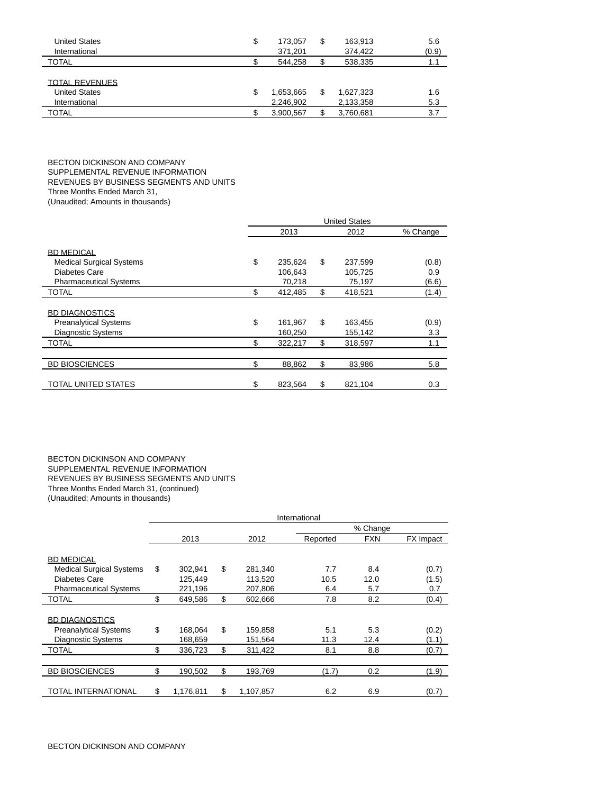| <b>United States</b><br>International                          | \$ | 173,057<br>371,201     | \$<br>163,913<br>374.422     | 5.6<br>(0.9) |
|----------------------------------------------------------------|----|------------------------|------------------------------|--------------|
| <b>TOTAL</b>                                                   |    | 544.258                | 538,335                      | 1.1          |
| <b>TOTAL REVENUES</b><br><b>United States</b><br>International | S  | 1.653.665<br>2,246,902 | \$<br>1,627,323<br>2,133,358 | 1.6<br>5.3   |
| <b>TOTAL</b>                                                   |    | 3,900,567              | 3,760,681                    | 3.7          |

BECTON DICKINSON AND COMPANY SUPPLEMENTAL REVENUE INFORMATION REVENUES BY BUSINESS SEGMENTS AND UNITS Three Months Ended March 31, (Unaudited; Amounts in thousands)

|                                                       | <b>United States</b> |         |    |         |          |  |  |  |
|-------------------------------------------------------|----------------------|---------|----|---------|----------|--|--|--|
|                                                       |                      | 2013    |    | 2012    | % Change |  |  |  |
| <b>BD MEDICAL</b><br><b>Medical Surgical Systems</b>  | \$                   | 235,624 | \$ | 237,599 | (0.8)    |  |  |  |
| Diabetes Care                                         |                      | 106.643 |    | 105,725 | 0.9      |  |  |  |
| <b>Pharmaceutical Systems</b>                         |                      | 70,218  |    | 75,197  | (6.6)    |  |  |  |
| <b>TOTAL</b>                                          | \$                   | 412,485 | \$ | 418.521 | (1.4)    |  |  |  |
| <b>BD DIAGNOSTICS</b><br><b>Preanalytical Systems</b> | \$                   | 161.967 | \$ | 163.455 | (0.9)    |  |  |  |
| <b>Diagnostic Systems</b>                             |                      | 160,250 |    | 155,142 | 3.3      |  |  |  |
| <b>TOTAL</b>                                          | \$                   | 322,217 | \$ | 318,597 | 1.1      |  |  |  |
|                                                       |                      |         |    |         |          |  |  |  |
| <b>BD BIOSCIENCES</b>                                 | \$                   | 88,862  | \$ | 83.986  | 5.8      |  |  |  |
| TOTAL UNITED STATES                                   | \$                   | 823.564 | \$ | 821.104 | 0.3      |  |  |  |

BECTON DICKINSON AND COMPANY SUPPLEMENTAL REVENUE INFORMATION REVENUES BY BUSINESS SEGMENTS AND UNITS Three Months Ended March 31, (continued) (Unaudited; Amounts in thousands)

|                                 | International |           |    |           |          |            |                  |  |  |  |
|---------------------------------|---------------|-----------|----|-----------|----------|------------|------------------|--|--|--|
|                                 |               |           |    |           |          | % Change   |                  |  |  |  |
|                                 |               | 2013      |    | 2012      | Reported | <b>FXN</b> | <b>FX</b> Impact |  |  |  |
|                                 |               |           |    |           |          |            |                  |  |  |  |
| <b>BD MEDICAL</b>               |               |           |    |           |          |            |                  |  |  |  |
| <b>Medical Surgical Systems</b> | \$            | 302.941   | \$ | 281,340   | 7.7      | 8.4        | (0.7)            |  |  |  |
| Diabetes Care                   |               | 125.449   |    | 113,520   | 10.5     | 12.0       | (1.5)            |  |  |  |
| <b>Pharmaceutical Systems</b>   |               | 221,196   |    | 207,806   | 6.4      | 5.7        | 0.7              |  |  |  |
| <b>TOTAL</b>                    | \$            | 649,586   | \$ | 602,666   | 7.8      | 8.2        | (0.4)            |  |  |  |
|                                 |               |           |    |           |          |            |                  |  |  |  |
| <b>BD DIAGNOSTICS</b>           |               |           |    |           |          |            |                  |  |  |  |
| <b>Preanalytical Systems</b>    | \$            | 168,064   | \$ | 159,858   | 5.1      | 5.3        | (0.2)            |  |  |  |
| <b>Diagnostic Systems</b>       |               | 168,659   |    | 151,564   | 11.3     | 12.4       | (1.1)            |  |  |  |
| TOTAL                           | \$            | 336,723   | \$ | 311,422   | 8.1      | 8.8        | (0.7)            |  |  |  |
|                                 |               |           |    |           |          |            |                  |  |  |  |
| <b>BD BIOSCIENCES</b>           | \$            | 190,502   | \$ | 193,769   | (1.7)    | 0.2        | (1.9)            |  |  |  |
|                                 |               |           |    |           |          |            |                  |  |  |  |
| TOTAL INTERNATIONAL             | \$            | 1,176,811 | \$ | 1,107,857 | 6.2      | 6.9        | (0.7)            |  |  |  |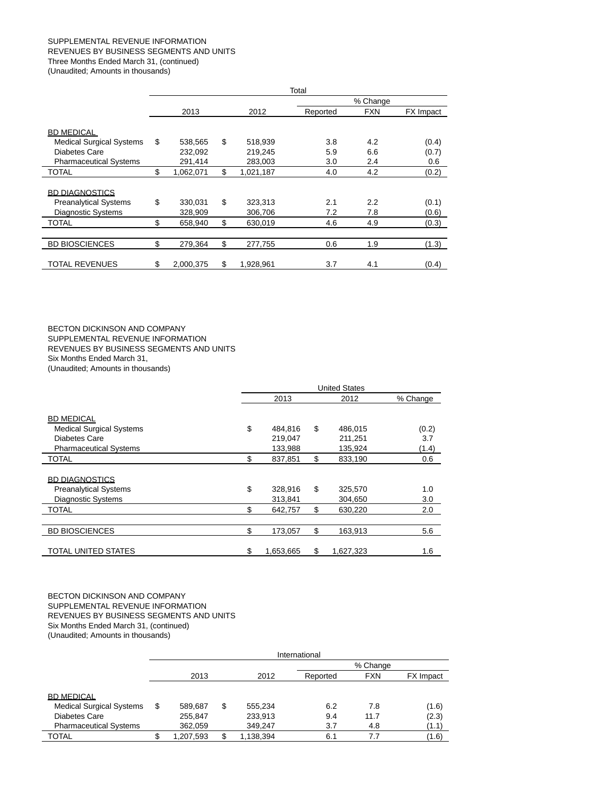#### SUPPLEMENTAL REVENUE INFORMATION REVENUES BY BUSINESS SEGMENTS AND UNITS Three Months Ended March 31, (continued) (Unaudited; Amounts in thousands)

|                                 | Total |           |    |           |          |            |                  |  |  |  |
|---------------------------------|-------|-----------|----|-----------|----------|------------|------------------|--|--|--|
|                                 |       |           |    |           |          | % Change   |                  |  |  |  |
|                                 |       | 2013      |    | 2012      | Reported | <b>FXN</b> | <b>FX</b> Impact |  |  |  |
|                                 |       |           |    |           |          |            |                  |  |  |  |
| <b>BD MEDICAL</b>               |       |           |    |           |          |            |                  |  |  |  |
| <b>Medical Surgical Systems</b> | \$    | 538,565   | \$ | 518,939   | 3.8      | 4.2        | (0.4)            |  |  |  |
| Diabetes Care                   |       | 232,092   |    | 219,245   | 5.9      | 6.6        | (0.7)            |  |  |  |
| <b>Pharmaceutical Systems</b>   |       | 291,414   |    | 283,003   | 3.0      | 2.4        | 0.6              |  |  |  |
| TOTAL                           | \$    | 1,062,071 | \$ | 1,021,187 | 4.0      | 4.2        | (0.2)            |  |  |  |
|                                 |       |           |    |           |          |            |                  |  |  |  |
| <b>BD DIAGNOSTICS</b>           |       |           |    |           |          |            |                  |  |  |  |
| <b>Preanalytical Systems</b>    | \$    | 330,031   | \$ | 323,313   | 2.1      | 2.2        | (0.1)            |  |  |  |
| <b>Diagnostic Systems</b>       |       | 328,909   |    | 306,706   | 7.2      | 7.8        | (0.6)            |  |  |  |
| TOTAL                           | \$    | 658.940   | \$ | 630,019   | 4.6      | 4.9        | (0.3)            |  |  |  |
|                                 |       |           |    |           |          |            |                  |  |  |  |
| <b>BD BIOSCIENCES</b>           | \$    | 279,364   | \$ | 277,755   | 0.6      | 1.9        | (1.3)            |  |  |  |
|                                 |       |           |    |           |          |            |                  |  |  |  |
| <b>TOTAL REVENUES</b>           | \$    | 2,000,375 | \$ | 1,928,961 | 3.7      | 4.1        | (0.4)            |  |  |  |

BECTON DICKINSON AND COMPANY SUPPLEMENTAL REVENUE INFORMATION REVENUES BY BUSINESS SEGMENTS AND UNITS Six Months Ended March 31, (Unaudited; Amounts in thousands)

|                                 |                 |     | <b>United States</b> |          |
|---------------------------------|-----------------|-----|----------------------|----------|
|                                 | 2013            |     | 2012                 | % Change |
|                                 |                 |     |                      |          |
| <b>BD MEDICAL</b>               |                 |     |                      |          |
| <b>Medical Surgical Systems</b> | \$<br>484.816   | \$  | 486,015              | (0.2)    |
| Diabetes Care                   | 219,047         |     | 211,251              | 3.7      |
| <b>Pharmaceutical Systems</b>   | 133,988         |     | 135,924              | (1.4)    |
| TOTAL                           | \$<br>837,851   | \$  | 833,190              | 0.6      |
|                                 |                 |     |                      |          |
| <b>BD DIAGNOSTICS</b>           |                 |     |                      |          |
| <b>Preanalytical Systems</b>    | \$<br>328,916   | \$  | 325,570              | 1.0      |
| <b>Diagnostic Systems</b>       | 313,841         |     | 304,650              | 3.0      |
| <b>TOTAL</b>                    | \$<br>642,757   | \$  | 630,220              | 2.0      |
|                                 |                 |     |                      |          |
| <b>BD BIOSCIENCES</b>           | \$<br>173,057   | \$  | 163,913              | 5.6      |
|                                 |                 |     |                      |          |
| TOTAL UNITED STATES             | \$<br>1,653,665 | \$. | 1,627,323            | 1.6      |

BECTON DICKINSON AND COMPANY SUPPLEMENTAL REVENUE INFORMATION REVENUES BY BUSINESS SEGMENTS AND UNITS Six Months Ended March 31, (continued) (Unaudited; Amounts in thousands)

|                                 | International |   |           |          |            |                  |  |  |  |  |  |  |
|---------------------------------|---------------|---|-----------|----------|------------|------------------|--|--|--|--|--|--|
|                                 |               |   |           |          |            |                  |  |  |  |  |  |  |
|                                 | 2013          |   | 2012      | Reported | <b>FXN</b> | <b>FX</b> Impact |  |  |  |  |  |  |
|                                 |               |   |           |          |            |                  |  |  |  |  |  |  |
| <b>BD MEDICAL</b>               |               |   |           |          |            |                  |  |  |  |  |  |  |
| <b>Medical Surgical Systems</b> | 589,687       | S | 555,234   | 6.2      | 7.8        | (1.6)            |  |  |  |  |  |  |
| Diabetes Care                   | 255,847       |   | 233,913   | 9.4      | 11.7       | (2.3)            |  |  |  |  |  |  |
| <b>Pharmaceutical Systems</b>   | 362,059       |   | 349,247   | 3.7      | 4.8        | (1.1)            |  |  |  |  |  |  |
| TOTAL                           | 1,207,593     |   | 1,138,394 | 6.1      | 7.7        | (1.6)            |  |  |  |  |  |  |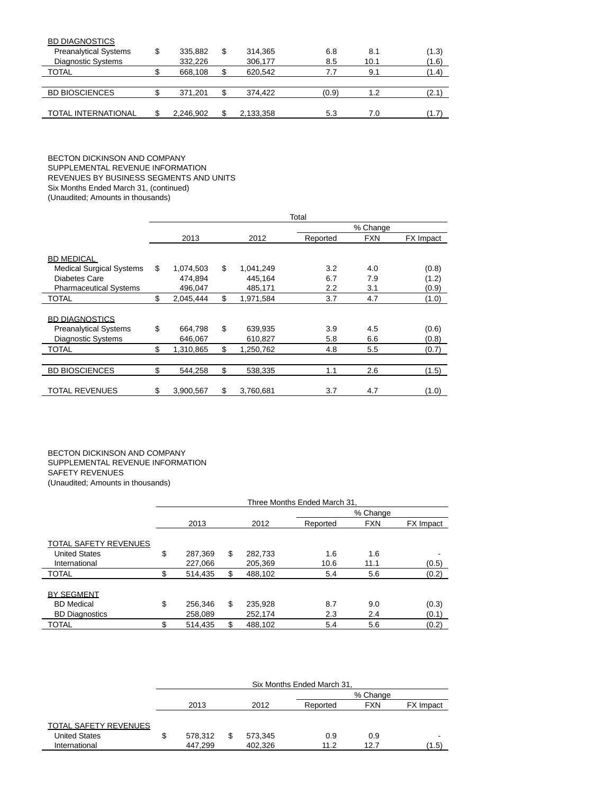| <b>BD DIAGNOSTICS</b>        |               |   |           |       |      |       |
|------------------------------|---------------|---|-----------|-------|------|-------|
| <b>Preanalytical Systems</b> | \$<br>335.882 | S | 314.365   | 6.8   | 8.1  | (1.3) |
| <b>Diagnostic Systems</b>    | 332,226       |   | 306,177   | 8.5   | 10.1 | (1.6) |
| <b>TOTAL</b>                 | 668.108       |   | 620.542   | 7.7   | 9.1  | (1.4) |
|                              |               |   |           |       |      |       |
| <b>BD BIOSCIENCES</b>        | 371.201       |   | 374.422   | (0.9) | 1.2  | (2.1) |
|                              |               |   |           |       |      |       |
| TOTAL INTERNATIONAL          | 2.246.902     |   | 2,133,358 | 5.3   | 7.0  | (1.7) |

BECTON DICKINSON AND COMPANY SUPPLEMENTAL REVENUE INFORMATION REVENUES BY BUSINESS SEGMENTS AND UNITS Six Months Ended March 31, (continued) (Unaudited; Amounts in thousands)

| Total |           |    |           |          |            |                  |  |  |  |  |  |
|-------|-----------|----|-----------|----------|------------|------------------|--|--|--|--|--|
|       |           |    |           |          | % Change   |                  |  |  |  |  |  |
|       | 2013      |    | 2012      | Reported | <b>FXN</b> | <b>FX</b> Impact |  |  |  |  |  |
|       |           |    |           |          |            |                  |  |  |  |  |  |
|       |           |    |           |          |            |                  |  |  |  |  |  |
| \$    | 1,074,503 | \$ | 1,041,249 | 3.2      | 4.0        | (0.8)            |  |  |  |  |  |
|       | 474.894   |    | 445,164   | 6.7      | 7.9        | (1.2)            |  |  |  |  |  |
|       | 496.047   |    | 485.171   | 2.2      | 3.1        | (0.9)            |  |  |  |  |  |
| \$    | 2,045,444 | \$ | 1,971,584 | 3.7      | 4.7        | (1.0)            |  |  |  |  |  |
|       |           |    |           |          |            |                  |  |  |  |  |  |
|       |           |    |           |          |            |                  |  |  |  |  |  |
| \$    | 664,798   | \$ | 639,935   | 3.9      | 4.5        | (0.6)            |  |  |  |  |  |
|       | 646,067   |    | 610,827   | 5.8      | 6.6        | (0.8)            |  |  |  |  |  |
| \$    | 1,310,865 | \$ | 1,250,762 | 4.8      | 5.5        | (0.7)            |  |  |  |  |  |
|       |           |    |           |          |            |                  |  |  |  |  |  |
| \$    | 544,258   | \$ | 538,335   | 1.1      | 2.6        | (1.5)            |  |  |  |  |  |
|       |           |    |           |          |            |                  |  |  |  |  |  |
| \$    | 3.900.567 | \$ | 3.760.681 | 3.7      | 4.7        | (1.0)            |  |  |  |  |  |
|       |           |    |           |          |            |                  |  |  |  |  |  |

## BECTON DICKINSON AND COMPANY SUPPLEMENTAL REVENUE INFORMATION SAFETY REVENUES (Unaudited; Amounts in thousands)

|                       | Three Months Ended March 31, |         |    |         |          |            |           |  |  |  |  |  |
|-----------------------|------------------------------|---------|----|---------|----------|------------|-----------|--|--|--|--|--|
|                       |                              |         |    |         |          | % Change   |           |  |  |  |  |  |
|                       | 2013                         |         |    | 2012    | Reported | <b>FXN</b> | FX Impact |  |  |  |  |  |
| TOTAL SAFETY REVENUES |                              |         |    |         |          |            |           |  |  |  |  |  |
| <b>United States</b>  | \$                           | 287,369 | \$ | 282,733 | 1.6      | 1.6        |           |  |  |  |  |  |
| International         |                              | 227,066 |    | 205,369 | 10.6     | 11.1       | (0.5)     |  |  |  |  |  |
| <b>TOTAL</b>          | \$                           | 514,435 | \$ | 488,102 | 5.4      | 5.6        | (0.2)     |  |  |  |  |  |
|                       |                              |         |    |         |          |            |           |  |  |  |  |  |
| <b>BY SEGMENT</b>     |                              |         |    |         |          |            |           |  |  |  |  |  |
| <b>BD</b> Medical     | \$                           | 256,346 | \$ | 235,928 | 8.7      | 9.0        | (0.3)     |  |  |  |  |  |
| <b>BD Diagnostics</b> |                              | 258,089 |    | 252,174 | 2.3      | 2.4        | (0.1)     |  |  |  |  |  |
| <b>TOTAL</b>          | \$                           | 514.435 | \$ | 488.102 | 5.4      | 5.6        | (0.2)     |  |  |  |  |  |

|                              | Six Months Ended March 31, |         |    |         |          |            |           |  |  |  |  |
|------------------------------|----------------------------|---------|----|---------|----------|------------|-----------|--|--|--|--|
|                              |                            |         |    |         | % Change |            |           |  |  |  |  |
|                              |                            | 2013    |    | 2012    | Reported | <b>FXN</b> | FX Impact |  |  |  |  |
|                              |                            |         |    |         |          |            |           |  |  |  |  |
| <b>TOTAL SAFETY REVENUES</b> |                            |         |    |         |          |            |           |  |  |  |  |
| <b>United States</b>         | \$                         | 578.312 | \$ | 573,345 | 0.9      | 0.9        | -         |  |  |  |  |
| International                |                            | 447.299 |    | 402.326 | 11.2     | 12.7       | (1.5)     |  |  |  |  |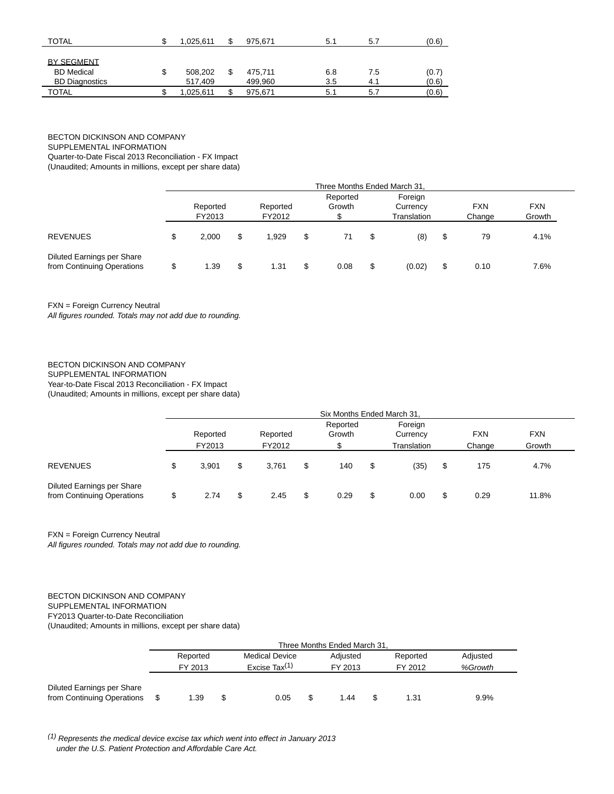| <b>TOTAL</b>          | ጦ<br>۰D | 1.025.611 | 975.671 | 5.1 | 5.7 | (0.6) |
|-----------------------|---------|-----------|---------|-----|-----|-------|
|                       |         |           |         |     |     |       |
| <b>BY SEGMENT</b>     |         |           |         |     |     |       |
| <b>BD</b> Medical     | \$      | 508.202   | 475.711 | 6.8 | 7.5 | (0.7) |
| <b>BD Diagnostics</b> |         | 517,409   | 499.960 | 3.5 | 4.1 | (0.6) |
| <b>TOTAL</b>          | J       | 1,025,611 | 975.671 | 5.1 | 5.7 | (0.6) |

#### BECTON DICKINSON AND COMPANY SUPPLEMENTAL INFORMATION Quarter-to-Date Fiscal 2013 Reconciliation - FX Impact (Unaudited; Amounts in millions, except per share data)

|                                                          |    | Three Months Ended March 31, |    |                    |    |      |                    |        |    |                      |                      |  |
|----------------------------------------------------------|----|------------------------------|----|--------------------|----|------|--------------------|--------|----|----------------------|----------------------|--|
|                                                          |    | Reported<br>FY2013           |    | Reported<br>FY2012 |    |      | Reported<br>Growth |        |    | <b>FXN</b><br>Change | <b>FXN</b><br>Growth |  |
| <b>REVENUES</b>                                          | \$ | 2.000                        | S  | 1.929              | S  | 71   |                    | (8)    | \$ | 79                   | 4.1%                 |  |
| Diluted Earnings per Share<br>from Continuing Operations | S  | 1.39                         | \$ | 1.31               | \$ | 0.08 | \$                 | (0.02) | S  | 0.10                 | 7.6%                 |  |

FXN = Foreign Currency Neutral

All figures rounded. Totals may not add due to rounding.

# BECTON DICKINSON AND COMPANY

SUPPLEMENTAL INFORMATION

Year-to-Date Fiscal 2013 Reconciliation - FX Impact

(Unaudited; Amounts in millions, except per share data)

|                                                                 | Six Months Ended March 31, |    |             |    |                    |             |                     |        |            |            |  |
|-----------------------------------------------------------------|----------------------------|----|-------------|----|--------------------|-------------|---------------------|--------|------------|------------|--|
|                                                                 | Reported                   |    | Reported    |    | Reported<br>Growth |             | Foreign<br>Currency |        | <b>FXN</b> | <b>FXN</b> |  |
|                                                                 | FY2013                     |    | FY2012<br>c |    |                    | Translation |                     | Change | Growth     |            |  |
| <b>REVENUES</b>                                                 | \$<br>3.901                | \$ | 3.761       | \$ | 140                | \$          | (35)                | \$     | 175        | 4.7%       |  |
| <b>Diluted Earnings per Share</b><br>from Continuing Operations | \$<br>2.74                 | S  | 2.45        | \$ | 0.29               | \$          | 0.00                | \$     | 0.29       | 11.8%      |  |

## FXN = Foreign Currency Neutral

All figures rounded. Totals may not add due to rounding.

#### BECTON DICKINSON AND COMPANY SUPPLEMENTAL INFORMATION FY2013 Quarter-to-Date Reconciliation (Unaudited; Amounts in millions, except per share data)

|                                                          |         | Three Months Ended March 31, |     |                       |    |          |     |          |          |  |  |  |  |  |
|----------------------------------------------------------|---------|------------------------------|-----|-----------------------|----|----------|-----|----------|----------|--|--|--|--|--|
|                                                          |         | Reported                     |     | <b>Medical Device</b> |    | Adjusted |     | Reported | Adjusted |  |  |  |  |  |
|                                                          | FY 2013 |                              |     | Excise $Tax(1)$       |    | FY 2013  |     | FY 2012  | %Growth  |  |  |  |  |  |
|                                                          |         |                              |     |                       |    |          |     |          |          |  |  |  |  |  |
| Diluted Earnings per Share<br>from Continuing Operations |         | 1.39                         | \$. | 0.05                  | \$ | 1.44     | \$. | 1.31     | 9.9%     |  |  |  |  |  |

 $(1)$  Represents the medical device excise tax which went into effect in January 2013 under the U.S. Patient Protection and Affordable Care Act.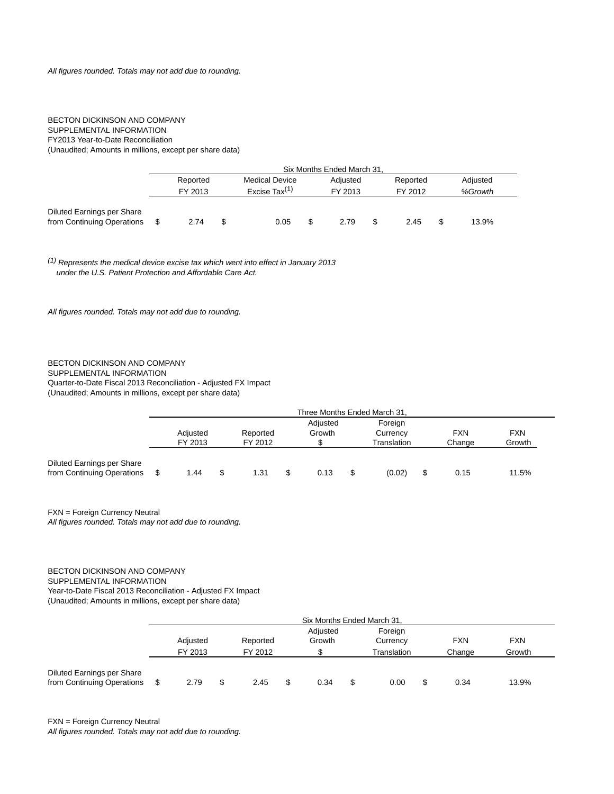# BECTON DICKINSON AND COMPANY SUPPLEMENTAL INFORMATION FY2013 Year-to-Date Reconciliation

(Unaudited; Amounts in millions, except per share data)

|                            | Six Months Ended March 31. |          |    |                       |    |          |    |          |  |          |  |  |  |
|----------------------------|----------------------------|----------|----|-----------------------|----|----------|----|----------|--|----------|--|--|--|
|                            |                            | Reported |    | <b>Medical Device</b> |    | Adiusted |    | Reported |  | Adjusted |  |  |  |
|                            |                            | FY 2013  |    | Excise Tax $(1)$      |    | FY 2013  |    | FY 2012  |  | %Growth  |  |  |  |
| Diluted Earnings per Share |                            |          |    |                       |    |          |    |          |  |          |  |  |  |
| from Continuing Operations |                            | 2.74     | \$ | 0.05                  | \$ | 2.79     | \$ | 2.45     |  | 13.9%    |  |  |  |

 $(1)$  Represents the medical device excise tax which went into effect in January 2013 under the U.S. Patient Protection and Affordable Care Act.

All figures rounded. Totals may not add due to rounding.

# BECTON DICKINSON AND COMPANY

SUPPLEMENTAL INFORMATION

Quarter-to-Date Fiscal 2013 Reconciliation - Adjusted FX Impact

(Unaudited; Amounts in millions, except per share data)

|                                                          | Three Months Ended March 31, |      |    |                     |  |                    |  |                                    |    |                      |                      |  |
|----------------------------------------------------------|------------------------------|------|----|---------------------|--|--------------------|--|------------------------------------|----|----------------------|----------------------|--|
|                                                          | Adjusted<br>FY 2013          |      |    | Reported<br>FY 2012 |  | Adjusted<br>Growth |  | Foreign<br>Currency<br>Translation |    | <b>FXN</b><br>Change | <b>FXN</b><br>Growth |  |
| Diluted Earnings per Share<br>from Continuing Operations |                              | 1.44 | \$ | 1.31                |  | 0.13               |  | (0.02)                             | \$ | 0.15                 | 11.5%                |  |

FXN = Foreign Currency Neutral

All figures rounded. Totals may not add due to rounding.

## BECTON DICKINSON AND COMPANY SUPPLEMENTAL INFORMATION

Year-to-Date Fiscal 2013 Reconciliation - Adjusted FX Impact

(Unaudited; Amounts in millions, except per share data)

|                                                          | Six Months Ended March 31, |                     |  |                     |  |                    |  |                                    |  |                      |                      |  |
|----------------------------------------------------------|----------------------------|---------------------|--|---------------------|--|--------------------|--|------------------------------------|--|----------------------|----------------------|--|
|                                                          |                            | Adjusted<br>FY 2013 |  | Reported<br>FY 2012 |  | Adjusted<br>Growth |  | Foreign<br>Currency<br>Translation |  | <b>FXN</b><br>Change | <b>FXN</b><br>Growth |  |
| Diluted Earnings per Share<br>from Continuing Operations | \$                         | 2.79                |  | 2.45                |  | 0.34               |  | 0.00                               |  | 0.34                 | 13.9%                |  |

FXN = Foreign Currency Neutral

All figures rounded. Totals may not add due to rounding.